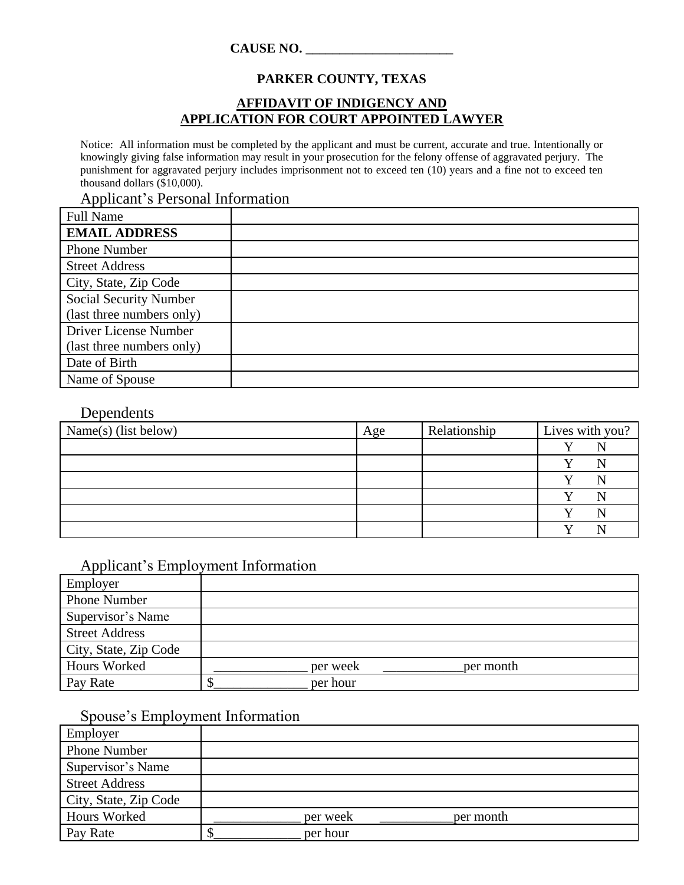#### **CAUSE NO. \_\_\_\_\_\_\_\_\_\_\_\_\_\_\_\_\_\_\_\_\_\_**

## **PARKER COUNTY, TEXAS**

#### **AFFIDAVIT OF INDIGENCY AND APPLICATION FOR COURT APPOINTED LAWYER**

Notice: All information must be completed by the applicant and must be current, accurate and true. Intentionally or knowingly giving false information may result in your prosecution for the felony offense of aggravated perjury. The punishment for aggravated perjury includes imprisonment not to exceed ten (10) years and a fine not to exceed ten thousand dollars (\$10,000).

Applicant's Personal Information

| <b>Full Name</b>              |  |
|-------------------------------|--|
| <b>EMAIL ADDRESS</b>          |  |
| <b>Phone Number</b>           |  |
| <b>Street Address</b>         |  |
| City, State, Zip Code         |  |
| <b>Social Security Number</b> |  |
| (last three numbers only)     |  |
| Driver License Number         |  |
| (last three numbers only)     |  |
| Date of Birth                 |  |
| Name of Spouse                |  |

### Dependents

| Name(s) (list below) | Age | Relationship | Lives with you? |
|----------------------|-----|--------------|-----------------|
|                      |     |              |                 |
|                      |     |              |                 |
|                      |     |              |                 |
|                      |     |              |                 |
|                      |     |              |                 |
|                      |     |              |                 |

## Applicant's Employment Information

| Employer              |          |           |  |
|-----------------------|----------|-----------|--|
| Phone Number          |          |           |  |
| Supervisor's Name     |          |           |  |
| <b>Street Address</b> |          |           |  |
| City, State, Zip Code |          |           |  |
| <b>Hours Worked</b>   | per week | per month |  |
| Pay Rate              | per hour |           |  |

## Spouse's Employment Information

| Employer              |                       |
|-----------------------|-----------------------|
| <b>Phone Number</b>   |                       |
| Supervisor's Name     |                       |
| <b>Street Address</b> |                       |
| City, State, Zip Code |                       |
| Hours Worked          | per week<br>per month |
| Pay Rate              | per hour              |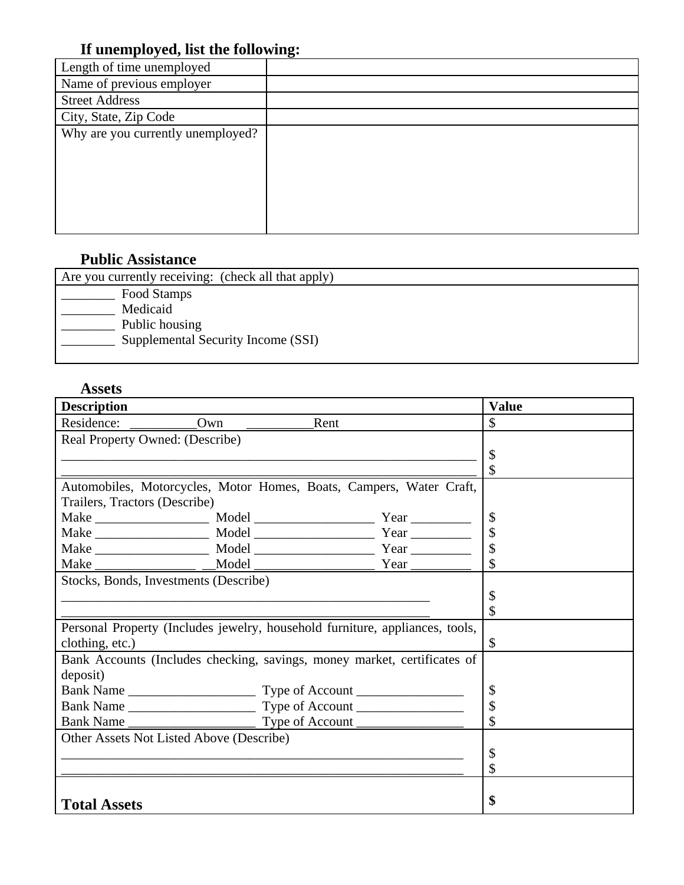# **If unemployed, list the following:**

| Length of time unemployed         | ິ |
|-----------------------------------|---|
| Name of previous employer         |   |
| <b>Street Address</b>             |   |
| City, State, Zip Code             |   |
| Why are you currently unemployed? |   |
|                                   |   |
|                                   |   |
|                                   |   |
|                                   |   |
|                                   |   |
|                                   |   |

## **Public Assistance**

| Are you currently receiving: (check all that apply) |
|-----------------------------------------------------|
| Food Stamps                                         |
| Medicaid                                            |
| Public housing                                      |
| Supplemental Security Income (SSI)                  |
|                                                     |

## **Assets**

| <b>Description</b>                                                           |     |      |    | <b>Value</b>        |
|------------------------------------------------------------------------------|-----|------|----|---------------------|
| Residence:                                                                   | Own | Rent |    | \$.                 |
| Real Property Owned: (Describe)                                              |     |      |    |                     |
|                                                                              |     |      |    | \$                  |
|                                                                              |     |      |    | \$                  |
| Automobiles, Motorcycles, Motor Homes, Boats, Campers, Water Craft,          |     |      |    |                     |
| Trailers, Tractors (Describe)                                                |     |      |    |                     |
|                                                                              |     |      |    | \$                  |
|                                                                              |     |      |    | \$                  |
|                                                                              |     |      |    | \$                  |
|                                                                              |     |      |    | $\hat{\mathcal{L}}$ |
| Stocks, Bonds, Investments (Describe)                                        |     |      |    |                     |
|                                                                              |     |      |    | \$                  |
|                                                                              |     |      |    | \$                  |
| Personal Property (Includes jewelry, household furniture, appliances, tools, |     |      |    |                     |
| clothing, etc.)                                                              |     |      |    | \$                  |
| Bank Accounts (Includes checking, savings, money market, certificates of     |     |      |    |                     |
| deposit)                                                                     |     |      |    |                     |
|                                                                              |     |      | \$ |                     |
|                                                                              |     | \$   |    |                     |
|                                                                              |     |      |    |                     |
| Other Assets Not Listed Above (Describe)                                     |     |      |    |                     |
|                                                                              |     |      |    | \$                  |
|                                                                              |     |      |    | \$                  |
|                                                                              |     |      |    |                     |
| <b>Total Assets</b>                                                          |     |      |    | \$                  |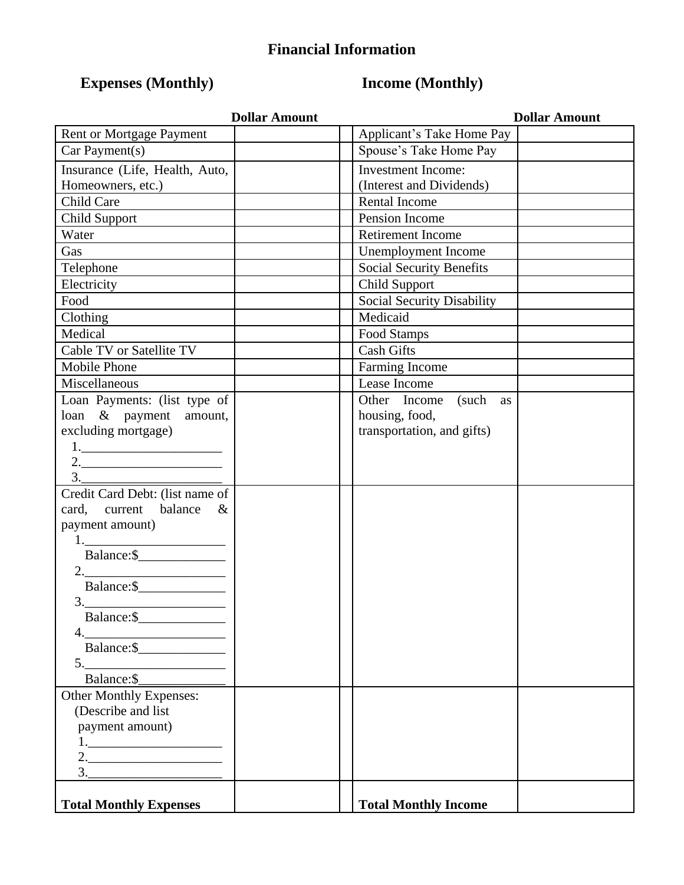# **Financial Information**

# **Expenses (Monthly) Income (Monthly)**

| <b>Dollar Amount</b>                               | <b>Dollar Amount</b>              |  |  |
|----------------------------------------------------|-----------------------------------|--|--|
| Rent or Mortgage Payment                           | Applicant's Take Home Pay         |  |  |
| Car Payment(s)                                     | Spouse's Take Home Pay            |  |  |
| Insurance (Life, Health, Auto,                     | <b>Investment Income:</b>         |  |  |
| Homeowners, etc.)                                  | (Interest and Dividends)          |  |  |
| Child Care                                         | <b>Rental Income</b>              |  |  |
| Child Support                                      | Pension Income                    |  |  |
| Water                                              | Retirement Income                 |  |  |
| Gas                                                | Unemployment Income               |  |  |
| Telephone                                          | <b>Social Security Benefits</b>   |  |  |
| Electricity                                        | <b>Child Support</b>              |  |  |
| Food                                               | <b>Social Security Disability</b> |  |  |
| Clothing                                           | Medicaid                          |  |  |
| Medical                                            | Food Stamps                       |  |  |
| Cable TV or Satellite TV                           | <b>Cash Gifts</b>                 |  |  |
| <b>Mobile Phone</b>                                | Farming Income                    |  |  |
| Miscellaneous                                      | Lease Income                      |  |  |
| Loan Payments: (list type of                       | Other Income (such as             |  |  |
| loan & payment amount,                             | housing, food,                    |  |  |
| excluding mortgage)                                | transportation, and gifts)        |  |  |
|                                                    |                                   |  |  |
| $2. \underline{\hspace{2.0cm}}$                    |                                   |  |  |
| $\begin{array}{c}\n3.\n\end{array}$                |                                   |  |  |
| Credit Card Debt: (list name of                    |                                   |  |  |
| card, current<br>balance<br>$\&$                   |                                   |  |  |
| payment amount)                                    |                                   |  |  |
| $1. \label{eq:1}$                                  |                                   |  |  |
| Balance: \$                                        |                                   |  |  |
| $2. \qquad \qquad \overbrace{\qquad \qquad }$      |                                   |  |  |
| Balance: \$                                        |                                   |  |  |
| $\begin{array}{c}\n3.\n\end{array}$<br>Balance: \$ |                                   |  |  |
| 4.                                                 |                                   |  |  |
| Balance: \$                                        |                                   |  |  |
|                                                    |                                   |  |  |
| $5.$ Balance: \$                                   |                                   |  |  |
| Other Monthly Expenses:                            |                                   |  |  |
| (Describe and list)                                |                                   |  |  |
| payment amount)                                    |                                   |  |  |
|                                                    |                                   |  |  |
| $2. \underline{\hspace{2cm}}$                      |                                   |  |  |
| 3.                                                 |                                   |  |  |
| <b>Total Monthly Expenses</b>                      | <b>Total Monthly Income</b>       |  |  |